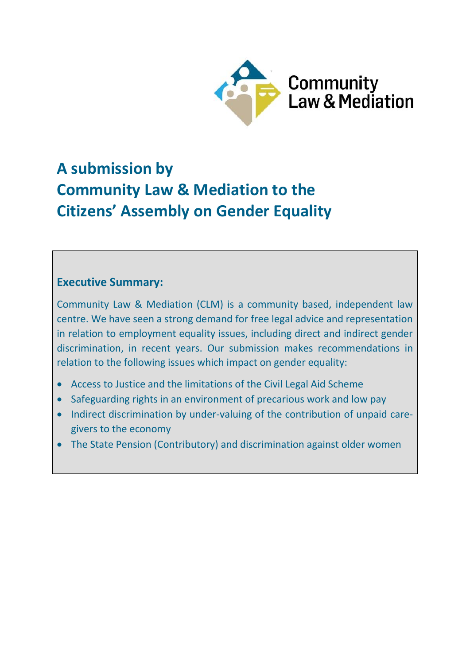

# **A submission by Community Law & Mediation to the Citizens' Assembly on Gender Equality**

# **Executive Summary:**

Community Law & Mediation (CLM) is a community based, independent law centre. We have seen a strong demand for free legal advice and representation in relation to employment equality issues, including direct and indirect gender discrimination, in recent years. Our submission makes recommendations in relation to the following issues which impact on gender equality:

- Access to Justice and the limitations of the Civil Legal Aid Scheme
- Safeguarding rights in an environment of precarious work and low pay
- Indirect discrimination by under-valuing of the contribution of unpaid caregivers to the economy
- The State Pension (Contributory) and discrimination against older women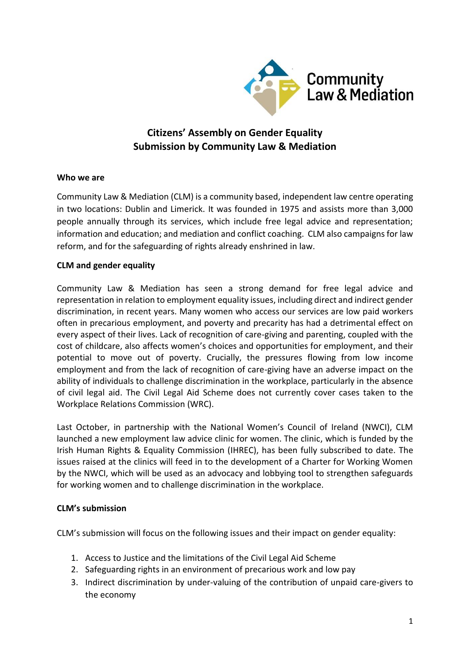

# **Citizens' Assembly on Gender Equality Submission by Community Law & Mediation**

#### **Who we are**

Community Law & Mediation (CLM) is a community based, independent law centre operating in two locations: Dublin and Limerick. It was founded in 1975 and assists more than 3,000 people annually through its services, which include free legal advice and representation; information and education; and mediation and conflict coaching. CLM also campaigns for law reform, and for the safeguarding of rights already enshrined in law.

## **CLM and gender equality**

Community Law & Mediation has seen a strong demand for free legal advice and representation in relation to employment equality issues, including direct and indirect gender discrimination, in recent years. Many women who access our services are low paid workers often in precarious employment, and poverty and precarity has had a detrimental effect on every aspect of their lives. Lack of recognition of care-giving and parenting, coupled with the cost of childcare, also affects women's choices and opportunities for employment, and their potential to move out of poverty. Crucially, the pressures flowing from low income employment and from the lack of recognition of care-giving have an adverse impact on the ability of individuals to challenge discrimination in the workplace, particularly in the absence of civil legal aid. The Civil Legal Aid Scheme does not currently cover cases taken to the Workplace Relations Commission (WRC).

Last October, in partnership with the National Women's Council of Ireland (NWCI), CLM launched a new employment law advice clinic for women. The clinic, which is funded by the Irish Human Rights & Equality Commission (IHREC), has been fully subscribed to date. The issues raised at the clinics will feed in to the development of a Charter for Working Women by the NWCI, which will be used as an advocacy and lobbying tool to strengthen safeguards for working women and to challenge discrimination in the workplace.

#### **CLM's submission**

CLM's submission will focus on the following issues and their impact on gender equality:

- 1. Access to Justice and the limitations of the Civil Legal Aid Scheme
- 2. Safeguarding rights in an environment of precarious work and low pay
- 3. Indirect discrimination by under-valuing of the contribution of unpaid care-givers to the economy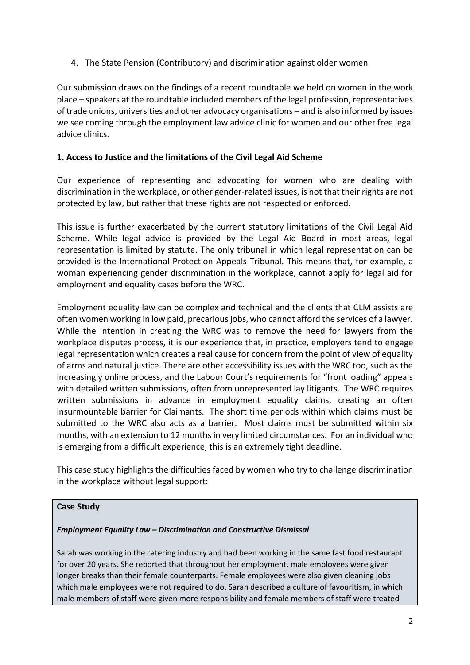4. The State Pension (Contributory) and discrimination against older women

Our submission draws on the findings of a recent roundtable we held on women in the work place – speakers at the roundtable included members of the legal profession, representatives of trade unions, universities and other advocacy organisations – and is also informed by issues we see coming through the employment law advice clinic for women and our other free legal advice clinics.

## **1. Access to Justice and the limitations of the Civil Legal Aid Scheme**

Our experience of representing and advocating for women who are dealing with discrimination in the workplace, or other gender-related issues, is not that their rights are not protected by law, but rather that these rights are not respected or enforced.

This issue is further exacerbated by the current statutory limitations of the Civil Legal Aid Scheme. While legal advice is provided by the Legal Aid Board in most areas, legal representation is limited by statute. The only tribunal in which legal representation can be provided is the International Protection Appeals Tribunal. This means that, for example, a woman experiencing gender discrimination in the workplace, cannot apply for legal aid for employment and equality cases before the WRC.

Employment equality law can be complex and technical and the clients that CLM assists are often women working in low paid, precarious jobs, who cannot afford the services of a lawyer. While the intention in creating the WRC was to remove the need for lawyers from the workplace disputes process, it is our experience that, in practice, employers tend to engage legal representation which creates a real cause for concern from the point of view of equality of arms and natural justice. There are other accessibility issues with the WRC too, such as the increasingly online process, and the Labour Court's requirements for "front loading" appeals with detailed written submissions, often from unrepresented lay litigants. The WRC requires written submissions in advance in employment equality claims, creating an often insurmountable barrier for Claimants. The short time periods within which claims must be submitted to the WRC also acts as a barrier. Most claims must be submitted within six months, with an extension to 12 months in very limited circumstances. For an individual who is emerging from a difficult experience, this is an extremely tight deadline.

This case study highlights the difficulties faced by women who try to challenge discrimination in the workplace without legal support:

## **Case Study**

#### *Employment Equality Law – Discrimination and Constructive Dismissal*

Sarah was working in the catering industry and had been working in the same fast food restaurant for over 20 years. She reported that throughout her employment, male employees were given longer breaks than their female counterparts. Female employees were also given cleaning jobs which male employees were not required to do. Sarah described a culture of favouritism, in which male members of staff were given more responsibility and female members of staff were treated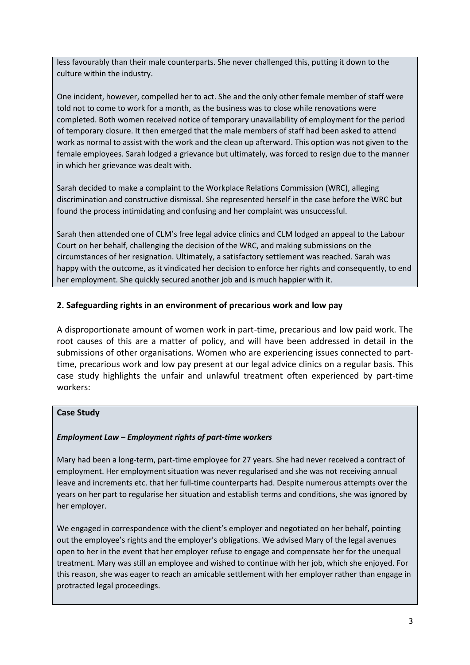less favourably than their male counterparts. She never challenged this, putting it down to the culture within the industry.

One incident, however, compelled her to act. She and the only other female member of staff were told not to come to work for a month, as the business was to close while renovations were completed. Both women received notice of temporary unavailability of employment for the period of temporary closure. It then emerged that the male members of staff had been asked to attend work as normal to assist with the work and the clean up afterward. This option was not given to the female employees. Sarah lodged a grievance but ultimately, was forced to resign due to the manner in which her grievance was dealt with.

Sarah decided to make a complaint to the Workplace Relations Commission (WRC), alleging discrimination and constructive dismissal. She represented herself in the case before the WRC but found the process intimidating and confusing and her complaint was unsuccessful.

Sarah then attended one of CLM's free legal advice clinics and CLM lodged an appeal to the Labour Court on her behalf, challenging the decision of the WRC, and making submissions on the circumstances of her resignation. Ultimately, a satisfactory settlement was reached. Sarah was happy with the outcome, as it vindicated her decision to enforce her rights and consequently, to end her employment. She quickly secured another job and is much happier with it.

#### **2. Safeguarding rights in an environment of precarious work and low pay**

A disproportionate amount of women work in part-time, precarious and low paid work. The root causes of this are a matter of policy, and will have been addressed in detail in the submissions of other organisations. Women who are experiencing issues connected to parttime, precarious work and low pay present at our legal advice clinics on a regular basis. This case study highlights the unfair and unlawful treatment often experienced by part-time workers:

#### **Case Study**

#### *Employment Law – Employment rights of part-time workers*

Mary had been a long-term, part-time employee for 27 years. She had never received a contract of employment. Her employment situation was never regularised and she was not receiving annual leave and increments etc. that her full-time counterparts had. Despite numerous attempts over the years on her part to regularise her situation and establish terms and conditions, she was ignored by her employer.

We engaged in correspondence with the client's employer and negotiated on her behalf, pointing out the employee's rights and the employer's obligations. We advised Mary of the legal avenues open to her in the event that her employer refuse to engage and compensate her for the unequal treatment. Mary was still an employee and wished to continue with her job, which she enjoyed. For this reason, she was eager to reach an amicable settlement with her employer rather than engage in protracted legal proceedings.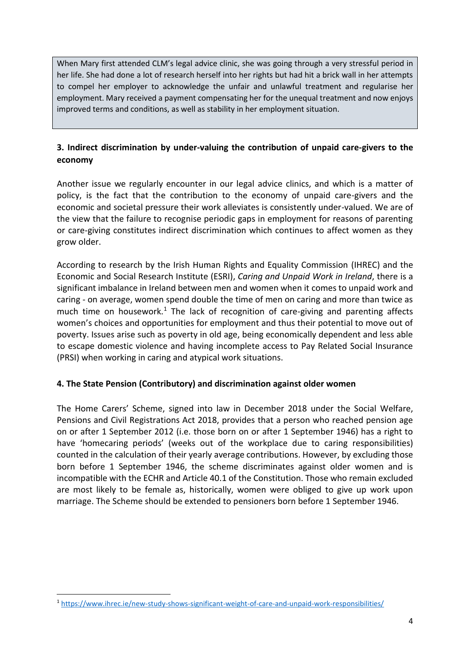When Mary first attended CLM's legal advice clinic, she was going through a very stressful period in her life. She had done a lot of research herself into her rights but had hit a brick wall in her attempts to compel her employer to acknowledge the unfair and unlawful treatment and regularise her employment. Mary received a payment compensating her for the unequal treatment and now enjoys improved terms and conditions, as well as stability in her employment situation.

# **3. Indirect discrimination by under-valuing the contribution of unpaid care-givers to the economy**

Another issue we regularly encounter in our legal advice clinics, and which is a matter of policy, is the fact that the contribution to the economy of unpaid care-givers and the economic and societal pressure their work alleviates is consistently under-valued. We are of the view that the failure to recognise periodic gaps in employment for reasons of parenting or care-giving constitutes indirect discrimination which continues to affect women as they grow older.

According to research by the Irish Human Rights and Equality Commission (IHREC) and the Economic and Social Research Institute (ESRI), *Caring and Unpaid Work in Ireland*, there is a significant imbalance in Ireland between men and women when it comes to unpaid work and caring - on average, women spend double the time of men on caring and more than twice as much time on housework.<sup>1</sup> The lack of recognition of care-giving and parenting affects women's choices and opportunities for employment and thus their potential to move out of poverty. Issues arise such as poverty in old age, being economically dependent and less able to escape domestic violence and having incomplete access to Pay Related Social Insurance (PRSI) when working in caring and atypical work situations.

## **4. The State Pension (Contributory) and discrimination against older women**

The Home Carers' Scheme, signed into law in December 2018 under the Social Welfare, Pensions and Civil Registrations Act 2018, provides that a person who reached pension age on or after 1 September 2012 (i.e. those born on or after 1 September 1946) has a right to have 'homecaring periods' (weeks out of the workplace due to caring responsibilities) counted in the calculation of their yearly average contributions. However, by excluding those born before 1 September 1946, the scheme discriminates against older women and is incompatible with the ECHR and Article 40.1 of the Constitution. Those who remain excluded are most likely to be female as, historically, women were obliged to give up work upon marriage. The Scheme should be extended to pensioners born before 1 September 1946.

**.** 

<sup>1</sup> <https://www.ihrec.ie/new-study-shows-significant-weight-of-care-and-unpaid-work-responsibilities/>